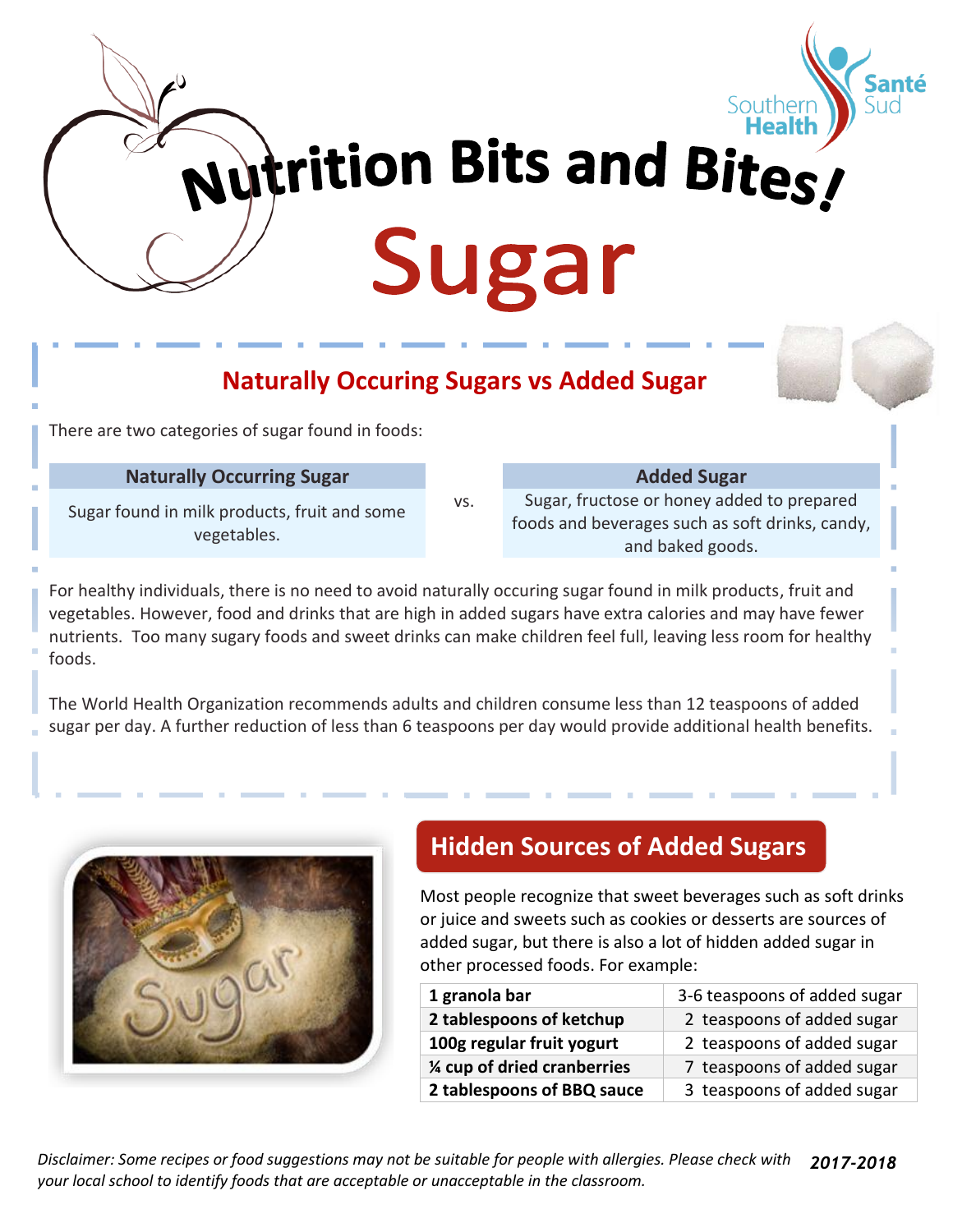

# **Naturally Occuring Sugars vs Added Sugar**

There are two categories of sugar found in foods:

#### **Naturally Occurring Sugar Added Sugar Added Sugar**

Sugar found in milk products, fruit and some vegetables.

vs. Sugar, fructose or honey added to prepared foods and beverages such as soft drinks, candy, and baked goods.

For healthy individuals, there is no need to avoid naturally occuring sugar found in milk products, fruit and vegetables. However, food and drinks that are high in added sugars have extra calories and may have fewer nutrients. Too many sugary foods and sweet drinks can make children feel full, leaving less room for healthy foods.

The World Health Organization recommends adults and children consume less than 12 teaspoons of added sugar per day. A further reduction of less than 6 teaspoons per day would provide additional health benefits.



#### **Hidden Sources of Added Sugars**

Most people recognize that sweet beverages such as soft drinks or juice and sweets such as cookies or desserts are sources of added sugar, but there is also a lot of hidden added sugar in other processed foods. For example:

| 1 granola bar                | 3-6 teaspoons of added sugar |
|------------------------------|------------------------------|
| 2 tablespoons of ketchup     | 2 teaspoons of added sugar   |
| 100g regular fruit yogurt    | 2 teaspoons of added sugar   |
| 1/4 cup of dried cranberries | 7 teaspoons of added sugar   |
| 2 tablespoons of BBQ sauce   | 3 teaspoons of added sugar   |